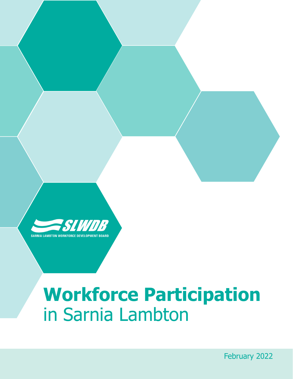

# **Workforce Participation** in Sarnia Lambton

1 February 2022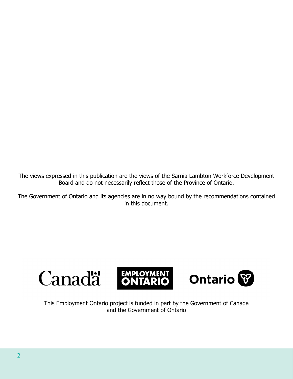The views expressed in this publication are the views of the Sarnia Lambton Workforce Development Board and do not necessarily reflect those of the Province of Ontario.

The Government of Ontario and its agencies are in no way bound by the recommendations contained in this document.



This Employment Ontario project is funded in part by the Government of Canada and the Government of Ontario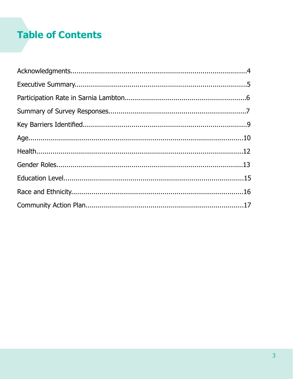# **Table of Contents**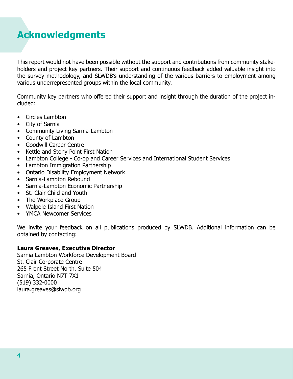## <span id="page-3-0"></span>**Acknowledgments**

This report would not have been possible without the support and contributions from community stakeholders and project key partners. Their support and continuous feedback added valuable insight into the survey methodology, and SLWDB's understanding of the various barriers to employment among various underrepresented groups within the local community.

Community key partners who offered their support and insight through the duration of the project included:

- Circles Lambton
- City of Sarnia
- Community Living Sarnia-Lambton
- County of Lambton
- Goodwill Career Centre
- Kettle and Stony Point First Nation
- Lambton College Co-op and Career Services and International Student Services
- Lambton Immigration Partnership
- Ontario Disability Employment Network
- Sarnia-Lambton Rebound
- Sarnia-Lambton Economic Partnership
- St. Clair Child and Youth
- The Workplace Group
- Walpole Island First Nation
- YMCA Newcomer Services

We invite your feedback on all publications produced by SLWDB. Additional information can be obtained by contacting:

#### **Laura Greaves, Executive Director**

Sarnia Lambton Workforce Development Board St. Clair Corporate Centre 265 Front Street North, Suite 504 Sarnia, Ontario N7T 7X1 (519) 332-0000 laura.greaves@slwdb.org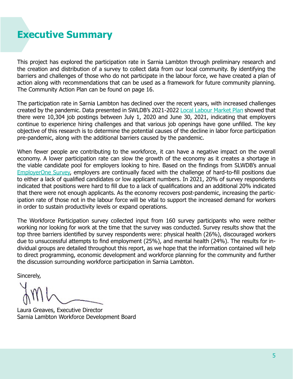### <span id="page-4-0"></span>**Executive Summary**

This project has explored the participation rate in Sarnia Lambton through preliminary research and the creation and distribution of a survey to collect data from our local community. By identifying the barriers and challenges of those who do not participate in the labour force, we have created a plan of action along with recommendations that can be used as a framework for future community planning. The Community Action Plan can be found on page 16.

The participation rate in Sarnia Lambton has declined over the recent years, with increased challenges created by the pandemic. Data presented in SWLDB's 2021-2022 [Local Labour Market Plan](https://www.slwdb.org/wp-content/uploads/2021/12/Sarnia-Lambton-Local-Labour-Market-Plan-2021-2022.pdf) showed that there were 10,304 job postings between July 1, 2020 and June 30, 2021, indicating that employers continue to experience hiring challenges and that various job openings have gone unfilled. The key objective of this research is to determine the potential causes of the decline in labor force participation pre-pandemic, along with the additional barriers caused by the pandemic.

When fewer people are contributing to the workforce, it can have a negative impact on the overall economy. A lower participation rate can slow the growth of the economy as it creates a shortage in the viable candidate pool for employers looking to hire. Based on the findings from SLWDB's annual [EmployerOne Survey,](https://www.slwdb.org/wp-content/uploads/2021/09/EmployerOne-2021-Report.pdf) employers are continually faced with the challenge of hard-to-fill positions due to either a lack of qualified candidates or low applicant numbers. In 2021, 20% of survey respondents indicated that positions were hard to fill due to a lack of qualifications and an additional 20% indicated that there were not enough applicants. As the economy recovers post-pandemic, increasing the participation rate of those not in the labour force will be vital to support the increased demand for workers in order to sustain productivity levels or expand operations.

The Workforce Participation survey collected input from 160 survey participants who were neither working nor looking for work at the time that the survey was conducted. Survey results show that the top three barriers identified by survey respondents were: physical health (26%), discouraged workers due to unsuccessful attempts to find employment (25%), and mental health (24%). The results for individual groups are detailed throughout this report, as we hope that the information contained will help to direct programming, economic development and workforce planning for the community and further the discussion surrounding workforce participation in Sarnia Lambton.

Sincerely,

Laura Greaves, Executive Director Sarnia Lambton Workforce Development Board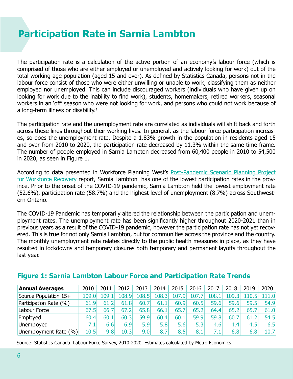### <span id="page-5-0"></span>**Participation Rate in Sarnia Lambton**

The participation rate is a calculation of the active portion of an economy's labour force (which is comprised of those who are either employed or unemployed and actively looking for work) out of the total working age population (aged 15 and over). As defined by Statistics Canada, persons not in the labour force consist of those who were either unwilling or unable to work, classifying them as neither employed nor unemployed. This can include discouraged workers (individuals who have given up on looking for work due to the inability to find work), students, homemakers, retired workers, seasonal workers in an 'off' season who were not looking for work, and persons who could not work because of a long-term illness or disability.<sup>1</sup>

The participation rate and the unemployment rate are correlated as individuals will shift back and forth across these lines throughout their working lives. In general, as the labour force participation increases, so does the unemployment rate. Despite a 1.83% growth in the population in residents aged 15 and over from 2010 to 2020, the participation rate decreased by 11.3% within the same time frame. The number of people employed in Sarnia Lambton decreased from 60,400 people in 2010 to 54,500 in 2020, as seen in Figure 1.

According to data presented in Workforce Planning West's [Post-Pandemic Scenario Planning Project](https://www.slwdb.org/pandemic-recovery/) [for Workforce Recovery](https://www.slwdb.org/pandemic-recovery/) report, Sarnia Lambton has one of the lowest participation rates in the province. Prior to the onset of the COVID-19 pandemic, Sarnia Lambton held the lowest employment rate (52.6%), participation rate (58.7%) and the highest level of unemployment (8.7%) across Southwestern Ontario.

The COVID-19 Pandemic has temporarily altered the relationship between the participation and unemployment rates. The unemployment rate has been significantly higher throughout 2020-2021 than in previous years as a result of the COVID-19 pandemic, however the participation rate has not yet recovered. This is true for not only Sarnia Lambton, but for communities across the province and the country. The monthly unemployment rate relates directly to the public health measures in place, as they have resulted in lockdowns and temporary closures both temporary and permanent layoffs throughout the last year.

| <b>Annual Averages</b> | 2010  | 2011  | 2012  | 2013  | 2014  | 2015  | 2016  | 2017  | 2018   | 2019 | 2020  |
|------------------------|-------|-------|-------|-------|-------|-------|-------|-------|--------|------|-------|
| Source Population 15+  | 109.0 | 109.1 | 108.9 | 108.5 | 108.3 | 107.9 | 107.7 | 108.1 | 109.31 |      | 111.0 |
| Participation Rate (%) | 61.9  | 61.2  | 61.8  | 60.7  | 61.1  | 60.9  | 60.5  | 59.6  | 59.6   | 59.5 | 54.9  |
| Labour Force           | 67.5  | 66.7  | 67.2  | 65.8  | 66.1  | 65.7  | 65.2  | 64.4  | 65.2   | 65.7 | 61.0  |
| Employed               | 60.4  | 60.1  | 60.3  | 59.9  | 60.4  | 60.1  | 59.9  | 59.8  | 60.7   | 61.2 | 54.5  |
| Unemployed             | 7.1   | 6.6   | 6.9   | 5.9   | 5.8   | 5.6   | 5.3   | 4.6   | 4.4    | 4.5' | 6.5   |
| Unemployment Rate (%)  | 10.5  | 9.8   | 10.31 | 9.01  | 8.7   | 8.5   | 8.1   | 7.1   | 6.8    | 6.8  | 10.7  |

### **Figure 1: Sarnia Lambton Labour Force and Participation Rate Trends**

Source: Statistics Canada. Labour Force Survey, 2010-2020. Estimates calculated by Metro Economics.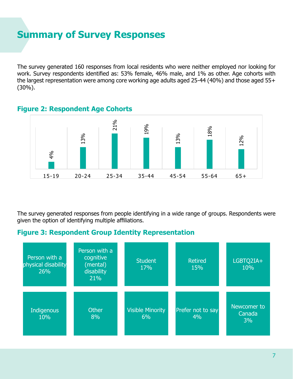### <span id="page-6-0"></span>**Summary of Survey Responses**

The survey generated 160 responses from local residents who were neither employed nor looking for work. Survey respondents identified as: 53% female, 46% male, and 1% as other. Age cohorts with the largest representation were among core working age adults aged 25-44 (40%) and those aged 55+ (30%).



#### **Figure 2: Respondent Age Cohorts**

The survey generated responses from people identifying in a wide range of groups. Respondents were given the option of identifying multiple affiliations.

### **Figure 3: Respondent Group Identity Representation**

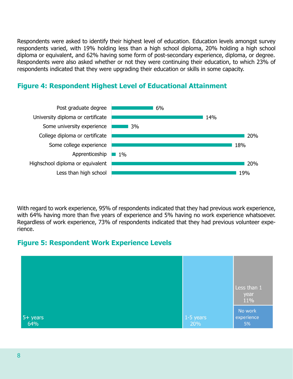Respondents were asked to identify their highest level of education. Education levels amongst survey respondents varied, with 19% holding less than a high school diploma, 20% holding a high school diploma or equivalent, and 62% having some form of post-secondary experience, diploma, or degree. Respondents were also asked whether or not they were continuing their education, to which 23% of respondents indicated that they were upgrading their education or skills in some capacity.



### **Figure 4: Respondent Highest Level of Educational Attainment**

With regard to work experience, 95% of respondents indicated that they had previous work experience, with 64% having more than five years of experience and 5% having no work experience whatsoever. Regardless of work experience, 73% of respondents indicated that they had previous volunteer experience.

### **Figure 5: Respondent Work Experience Levels**

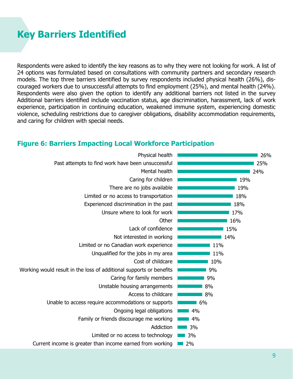### <span id="page-8-0"></span>**Key Barriers Identified**

Respondents were asked to identify the key reasons as to why they were not looking for work. A list of 24 options was formulated based on consultations with community partners and secondary research models. The top three barriers identified by survey respondents included physical health (26%), discouraged workers due to unsuccessful attempts to find employment (25%), and mental health (24%). Respondents were also given the option to identify any additional barriers not listed in the survey Additional barriers identified include vaccination status, age discrimination, harassment, lack of work experience, participation in continuing education, weakened immune system, experiencing domestic violence, scheduling restrictions due to caregiver obligations, disability accommodation requirements, and caring for children with special needs.

#### **Figure 6: Barriers Impacting Local Workforce Participation**

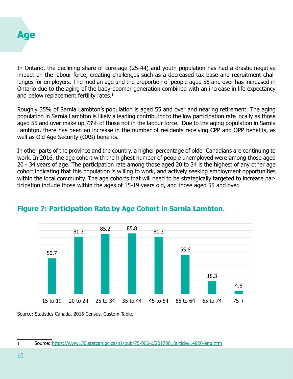<span id="page-9-0"></span>

In Ontario, the declining share of core-age (25-44) and youth population has had a drastic negative impact on the labour force, creating challenges such as a decreased tax base and recruitment challenges for employers. The median age and the proportion of people aged 55 and over has increased in Ontario due to the aging of the baby-boomer generation combined with an increase in life expectancy and below replacement fertility rates.<sup>1</sup>

Roughly 35% of Sarnia Lambton's population is aged 55 and over and nearing retirement. The aging population in Sarnia Lambton is likely a leading contributor to the low participation rate locally as those aged 55 and over make up 73% of those not in the labour force. Due to the aging population in Sarnia Lambton, there has been an increase in the number of residents receiving CPP and QPP benefits, as well as Old Age Security (OAS) benefits.

In other parts of the province and the country, a higher percentage of older Canadians are continuing to work. In 2016, the age cohort with the highest number of people unemployed were among those aged 20 - 34 years of age. The participation rate among those aged 20 to 34 is the highest of any other age cohort indicating that this population is willing to work, and actively seeking employment opportunities within the local community. The age cohorts that will need to be strategically targeted to increase participation include those within the ages of 15-19 years old, and those aged 55 and over.



### **Figure 7: Participation Rate by Age Cohort in Sarnia Lambton.**

Source: Statistics Canada. 2016 Census, Custom Table.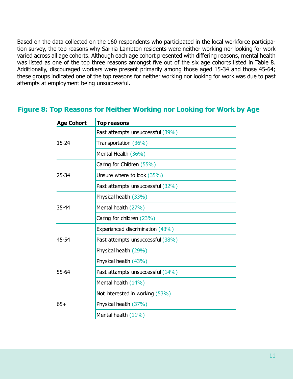Based on the data collected on the 160 respondents who participated in the local workforce participation survey, the top reasons why Sarnia Lambton residents were neither working nor looking for work varied across all age cohorts. Although each age cohort presented with differing reasons, mental health was listed as one of the top three reasons amongst five out of the six age cohorts listed in Table 8. Additionally, discouraged workers were present primarily among those aged 15-34 and those 45-64; these groups indicated one of the top reasons for neither working nor looking for work was due to past attempts at employment being unsuccessful.

#### **Figure 8: Top Reasons for Neither Working nor Looking for Work by Age**

| <b>Age Cohort</b> | <b>Top reasons</b>               |
|-------------------|----------------------------------|
| 15-24             | Past attempts unsuccessful (39%) |
|                   | Transportation (36%)             |
|                   | Mental Health (36%)              |
|                   | Caring for Children (55%)        |
| 25-34             | Unsure where to look (35%)       |
|                   | Past attempts unsuccessful (32%) |
| 35-44             | Physical health (33%)            |
|                   | Mental health (27%)              |
|                   | Caring for children (23%)        |
|                   | Experienced discrimination (43%) |
| 45-54             | Past attempts unsuccessful (38%) |
|                   | Physical health (29%)            |
| 55-64             | Physical health (43%)            |
|                   | Past attampts unsuccessful (14%) |
|                   | Mental health (14%)              |
| $65+$             | Not interested in working (53%)  |
|                   | Physical health (37%)            |
|                   | Mental health (11%)              |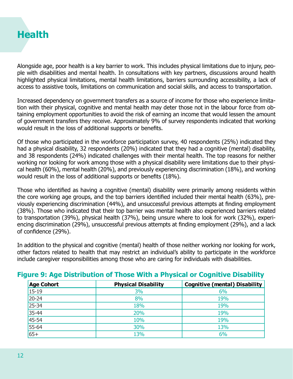<span id="page-11-0"></span>

Alongside age, poor health is a key barrier to work. This includes physical limitations due to injury, people with disabilities and mental health. In consultations with key partners, discussions around health highlighted physical limitations, mental health limitations, barriers surrounding accessibility, a lack of access to assistive tools, limitations on communication and social skills, and access to transportation.

Increased dependency on government transfers as a source of income for those who experience limitation with their physical, cognitive and mental health may deter those not in the labour force from obtaining employment opportunities to avoid the risk of earning an income that would lessen the amount of government transfers they receive. Approximately 9% of survey respondents indicated that working would result in the loss of additional supports or benefits.

Of those who participated in the workforce participation survey, 40 respondents (25%) indicated they had a physical disability, 32 respondents (20%) indicated that they had a cognitive (mental) disability, and 38 respondents (24%) indicated challenges with their mental health. The top reasons for neither working nor looking for work among those with a physical disability were limitations due to their physical health (60%), mental health (20%), and previously experiencing discrimination (18%), and working would result in the loss of additional supports or benefits (18%).

Those who identified as having a cognitive (mental) disability were primarily among residents within the core working age groups, and the top barriers identified included their mental health (63%), previously experiencing discrimination (44%), and unsuccessful previous attempts at finding employment (38%). Those who indicated that their top barrier was mental health also experienced barriers related to transportation (39%), physical health (37%), being unsure where to look for work (32%), experiencing discrimination (29%), unsuccessful previous attempts at finding employment (29%), and a lack of confidence (29%).

In addition to the physical and cognitive (mental) health of those neither working nor looking for work, other factors related to health that may restrict an individual's ability to participate in the workforce include caregiver responsibilities among those who are caring for individuals with disabilities.

| <b>Age Cohort</b> | <b>Physical Disability</b> | Cognitive (mental) Disability |  |  |  |  |  |
|-------------------|----------------------------|-------------------------------|--|--|--|--|--|
| $15 - 19$         | 3%                         | 6%                            |  |  |  |  |  |
| $20 - 24$         | 8%                         | 19%                           |  |  |  |  |  |
| $25 - 34$         | 18%                        | 19%                           |  |  |  |  |  |
| 35-44             | 20%                        | 19%                           |  |  |  |  |  |
| 45-54             | 10%                        | 19%                           |  |  |  |  |  |
| 55-64             | 30%                        | 13%                           |  |  |  |  |  |
| $65+$             | 13%                        | 6%                            |  |  |  |  |  |

### **Figure 9: Age Distribution of Those With a Physical or Cognitive Disability**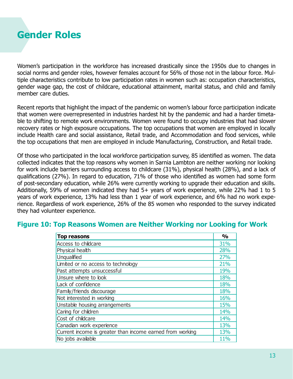<span id="page-12-0"></span>

Women's participation in the workforce has increased drastically since the 1950s due to changes in social norms and gender roles, however females account for 56% of those not in the labour force. Multiple characteristics contribute to low participation rates in women such as: occupation characteristics, gender wage gap, the cost of childcare, educational attainment, marital status, and child and family member care duties.

Recent reports that highlight the impact of the pandemic on women's labour force participation indicate that women were overrepresented in industries hardest hit by the pandemic and had a harder timetable to shifting to remote work environments. Women were found to occupy industries that had slower recovery rates or high exposure occupations. The top occupations that women are employed in locally include Health care and social assistance, Retail trade, and Accommodation and food services, while the top occupations that men are employed in include Manufacturing, Construction, and Retail trade.

Of those who participated in the local workforce participation survey, 85 identified as women. The data collected indicates that the top reasons why women in Sarnia Lambton are neither working nor looking for work include barriers surrounding access to childcare (31%), physical health (28%), and a lack of qualifications (27%). In regard to education, 71% of those who identified as women had some form of post-secondary education, while 26% were currently working to upgrade their education and skills. Additionally, 59% of women indicated they had 5+ years of work experience, while 22% had 1 to 5 years of work experience, 13% had less than 1 year of work experience, and 6% had no work experience. Regardless of work experience, 26% of the 85 women who responded to the survey indicated they had volunteer experience.

| <b>Top reasons</b>                                        | $\frac{0}{0}$ |
|-----------------------------------------------------------|---------------|
| Access to childcare                                       | 31%           |
| Physical health                                           | 28%           |
| Unqualified                                               | 27%           |
| Limited or no access to technology                        | 21%           |
| Past attempts unsuccessful                                | 19%           |
| Unsure where to look                                      | 18%           |
| Lack of confidence                                        | 18%           |
| Family/friends discourage                                 | 18%           |
| Not interested in working                                 | 16%           |
| Unstable housing arrangements                             | 15%           |
| Caring for children                                       | 14%           |
| Cost of childcare                                         | 14%           |
| Canadian work experience                                  | 13%           |
| Current income is greater than income earned from working | 13%           |
| No jobs available                                         | 11%           |

#### **Figure 10: Top Reasons Women are Neither Working nor Looking for Work**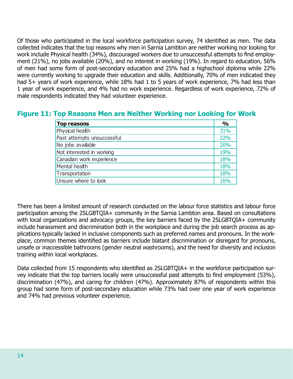Of those who participated in the local workforce participation survey, 74 identified as men. The data collected indicates that the top reasons why men in Sarnia Lambton are neither working nor looking for work include Physical health (34%), discouraged workers due to unsuccessful attempts to find employment (21%), no jobs available (20%), and no interest in working (19%). In regard to education, 56% of men had some form of post-secondary education and 25% had a highschool diploma while 22% were currently working to upgrade their education and skills. Additionally, 70% of men indicated they had 5+ years of work experience, while 18% had 1 to 5 years of work experience, 7% had less than 1 year of work experience, and 4% had no work experience. Regardless of work experience, 72% of male respondents indicated they had volunteer experience.

| <b>Figure 11: Top Reasons Men are Neither Working nor Looking for Work</b> |  |  |  |  |  |
|----------------------------------------------------------------------------|--|--|--|--|--|
|----------------------------------------------------------------------------|--|--|--|--|--|

| <b>Top reasons</b>         | $\frac{0}{0}$ |
|----------------------------|---------------|
| Physical health            | 31%           |
| Past attempts unsuccessful | 22%           |
| No jobs available          | 20%           |
| Not interested in working  | 19%           |
| Canadian work experience   | 18%           |
| Mental health              | 18%           |
| Transportation             | 18%           |
| Unsure where to look       | 16%           |

There has been a limited amount of research conducted on the labour force statistics and labour force participation among the 2SLGBTQIA+ community in the Sarnia Lambton area. Based on consultations with local organizations and advocacy groups, the key barriers faced by the 2SLGBTQIA+ community include harassment and discrimination both in the workplace and during the job search process as applications typically lacked in inclusive components such as preferred names and pronouns. In the workplace, common themes identified as barriers include blatant discrimination or disregard for pronouns, unsafe or inaccessible bathrooms (gender neutral washrooms), and the need for diversity and inclusion training within local workplaces.

Data collected from 15 respondents who identified as 2SLGBTQIA+ in the workforce participation survey indicate that the top barriers locally were unsuccessful past attempts to find employment (53%), discrimination (47%), and caring for children (47%). Approximately 87% of respondents within this group had some form of post-secondary education while 73% had over one year of work experience and 74% had previous volunteer experience.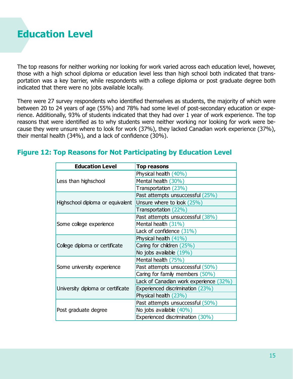<span id="page-14-0"></span>

The top reasons for neither working nor looking for work varied across each education level, however, those with a high school diploma or education level less than high school both indicated that transportation was a key barrier, while respondents with a college diploma or post graduate degree both indicated that there were no jobs available locally.

There were 27 survey respondents who identified themselves as students, the majority of which were between 20 to 24 years of age (55%) and 78% had some level of post-secondary education or experience. Additionally, 93% of students indicated that they had over 1 year of work experience. The top reasons that were identified as to why students were neither working nor looking for work were because they were unsure where to look for work (37%), they lacked Canadian work experience (37%), their mental health (34%), and a lack of confidence (30%).

| <b>Education Level</b>            | <b>Top reasons</b>                     |
|-----------------------------------|----------------------------------------|
|                                   | Physical health (40%)                  |
| Less than highschool              | Mental health (30%)                    |
|                                   | Transportation (23%)                   |
|                                   | Past attempts unsuccessful (25%)       |
| Highschool diploma or equivalent  | Unsure where to look (25%)             |
|                                   | Transportation (22%)                   |
|                                   | Past attempts unsuccessful (38%)       |
| Some college experience           | Mental health (31%)                    |
|                                   | Lack of confidence $(31\%)$            |
|                                   | Physical health (41%)                  |
| College diploma or certificate    | Caring for children (25%)              |
|                                   | No jobs available $(19\%)$             |
|                                   | Mental health (75%)                    |
| Some university experience        | Past attempts unsuccessful (50%)       |
|                                   | Caring for family members (50%)        |
|                                   | Lack of Canadian work experience (32%) |
| University diploma or certificate | Experienced discrimination (23%)       |
|                                   | Physical health (23%)                  |
|                                   | Past attempts unsuccessful (50%)       |
| Post graduate degree              | No jobs available (40%)                |
|                                   | Experienced discrimination (30%)       |

#### **Figure 12: Top Reasons for Not Participating by Education Level**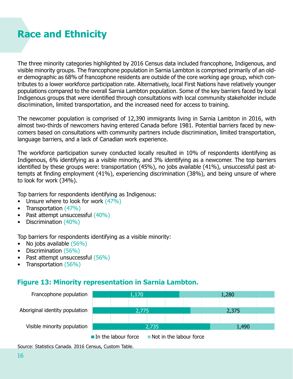### <span id="page-15-0"></span>**Race and Ethnicity**

The three minority categories highlighted by 2016 Census data included francophone, Indigenous, and visible minority groups. The francophone population in Sarnia Lambton is comprised primarily of an older demographic as 68% of francophone residents are outside of the core working age group, which contributes to a lower workforce participation rate. Alternatively, local First Nations have relatively younger populations compared to the overall Sarnia Lambton population. Some of the key barriers faced by local Indigenous groups that were identified through consultations with local community stakeholder include discrimination, limited transportation, and the increased need for access to training.

The newcomer population is comprised of 12,390 immigrants living in Sarnia Lambton in 2016, with almost two-thirds of newcomers having entered Canada before 1981. Potential barriers faced by newcomers based on consultations with community partners include discrimination, limited transportation, language barriers, and a lack of Canadian work experience.

The workforce participation survey conducted locally resulted in 10% of respondents identifying as Indigenous, 6% identifying as a visible minority, and 3% identifying as a newcomer. The top barriers identified by these groups were: transportation (45%), no jobs available (41%), unsuccessful past attempts at finding employment (41%), experiencing discrimination (38%), and being unsure of where to look for work (34%).

Top barriers for respondents identifying as Indigenous:

- Unsure where to look for work  $(47%)$
- Transportation (47%)
- Past attempt unsuccessful (40%)
- Discrimination (40%)

Top barriers for respondents identifying as a visible minority:

- No jobs available (56%)
- Discrimination (56%)
- Past attempt unsuccessful (56%)
- Transportation (56%)

#### **Figure 13: Minority representation in Sarnia Lambton.** Francophone population



Source: Statistics Canada. 2016 Census, Custom Table.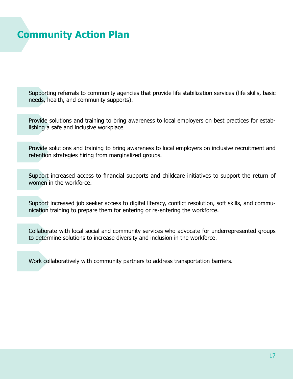### <span id="page-16-0"></span>**Community Action Plan**

Supporting referrals to community agencies that provide life stabilization services (life skills, basic needs, health, and community supports).

Provide solutions and training to bring awareness to local employers on best practices for establishing a safe and inclusive workplace

Provide solutions and training to bring awareness to local employers on inclusive recruitment and retention strategies hiring from marginalized groups.

Support increased access to financial supports and childcare initiatives to support the return of women in the workforce.

Support increased job seeker access to digital literacy, conflict resolution, soft skills, and communication training to prepare them for entering or re-entering the workforce.

Collaborate with local social and community services who advocate for underrepresented groups to determine solutions to increase diversity and inclusion in the workforce.

Work collaboratively with community partners to address transportation barriers.